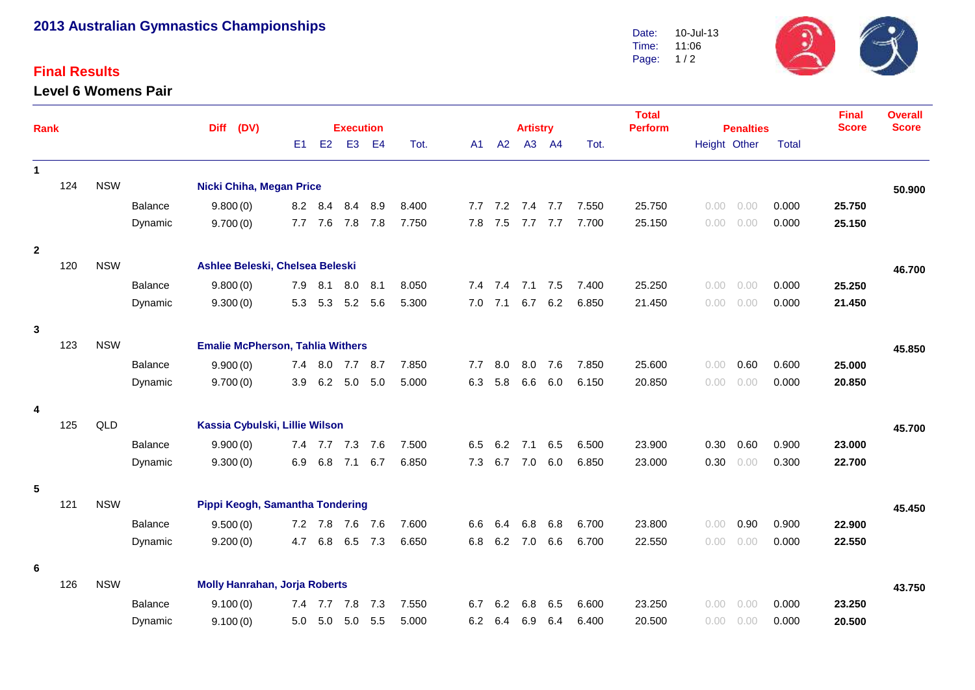# **2013 Australian Gymnastics Championships**

### **Final Results**

#### **Level 6 Womens Pair**



|                |                                                              |                                               |                |                                      |                                 |                  |                 |         |       |            |                 |            |            |                | <b>Total</b>   |                  |        |              | <b>Final</b><br><b>Score</b> | <b>Overall</b><br><b>Score</b> |
|----------------|--------------------------------------------------------------|-----------------------------------------------|----------------|--------------------------------------|---------------------------------|------------------|-----------------|---------|-------|------------|-----------------|------------|------------|----------------|----------------|------------------|--------|--------------|------------------------------|--------------------------------|
| Rank           |                                                              |                                               |                | (DV)<br><b>Diff</b>                  |                                 | <b>Execution</b> |                 |         |       |            | <b>Artistry</b> |            |            |                | <b>Perform</b> | <b>Penalties</b> |        |              |                              |                                |
|                |                                                              |                                               |                |                                      | E1                              | E2               | E <sub>3</sub>  | E4      | Tot.  | A1         | A2              |            | A3 A4      | Tot.           |                | Height Other     |        | <b>Total</b> |                              |                                |
| $\mathbf{1}$   |                                                              |                                               |                |                                      |                                 |                  |                 |         |       |            |                 |            |            |                |                |                  |        |              |                              |                                |
|                | 124                                                          | <b>NSW</b>                                    |                | <b>Nicki Chiha, Megan Price</b>      |                                 |                  |                 |         |       |            |                 |            |            |                |                |                  |        |              |                              | 50.900                         |
|                |                                                              |                                               | <b>Balance</b> | 9.800(0)                             |                                 | 8.2 8.4          | 8.4             | 8.9     | 8.400 |            | 7.7 7.2         |            | 7.4 7.7    | 7.550          | 25.750         | 0.00             | 0.00   | 0.000        | 25.750                       |                                |
|                |                                                              |                                               | Dynamic        | 9.700(0)                             | 7.7                             | 7.6              | 7.8 7.8         |         | 7.750 | 7.8        | 7.5             | 7.7        | 7.7        | 7.700          | 25.150         | 0.00             | 0.00   | 0.000        | 25.150                       |                                |
| $\overline{2}$ |                                                              |                                               |                |                                      |                                 |                  |                 |         |       |            |                 |            |            |                |                |                  |        |              |                              |                                |
|                | 120                                                          | <b>NSW</b>                                    |                |                                      | Ashlee Beleski, Chelsea Beleski |                  |                 |         |       |            |                 |            |            |                |                |                  |        | 46.700       |                              |                                |
|                |                                                              |                                               | Balance        | 9.800(0)                             | 7.9                             | 8.1              | 8.0             | 8.1     | 8.050 |            | $7.4$ $7.4$     | 7.1        | 7.5        | 7.400          | 25.250         | 0.00             | 0.00   | 0.000        | 25.250                       |                                |
|                |                                                              |                                               | Dynamic        | 9.300(0)                             |                                 |                  | 5.3 5.3 5.2     | 5.6     | 5.300 |            | $7.0$ $7.1$     | 6.7        | 6.2        | 6.850          | 21.450         | 0.00             | 0.00   | 0.000        | 21.450                       |                                |
| $\mathbf{3}$   |                                                              |                                               |                |                                      |                                 |                  |                 |         |       |            |                 |            |            |                |                |                  |        |              |                              |                                |
|                | <b>NSW</b><br><b>Emalie McPherson, Tahlia Withers</b><br>123 |                                               |                |                                      |                                 |                  |                 |         |       |            |                 |            |            |                |                |                  | 45.850 |              |                              |                                |
|                |                                                              |                                               | Balance        | 9.900(0)                             | 7.4                             | 8.0              | 7.7             | 8.7     | 7.850 | 7.7        | 8.0             | 8.0        | 7.6        | 7.850          | 25.600         | 0.00             | 0.60   | 0.600        | 25.000                       |                                |
|                |                                                              |                                               | Dynamic        | 9.700(0)                             | 3.9                             |                  | $6.2\quad 5.0$  | 5.0     | 5.000 | 6.3        | 5.8             | 6.6        | 6.0        | 6.150          | 20.850         | 0.00             | 0.00   | 0.000        | 20.850                       |                                |
|                |                                                              |                                               |                |                                      |                                 |                  |                 |         |       |            |                 |            |            |                |                |                  |        |              |                              |                                |
| 4              | 125                                                          | QLD                                           |                | Kassia Cybulski, Lillie Wilson       |                                 |                  |                 |         |       |            |                 |            |            |                |                |                  | 45.700 |              |                              |                                |
|                |                                                              |                                               | Balance        | 9.900(0)                             |                                 |                  | 7.4 7.7 7.3     | 7.6     | 7.500 | 6.5        | 6.2             | 7.1        | 6.5        | 6.500          | 23.900         | 0.30             | 0.60   | 0.900        | 23.000                       |                                |
|                |                                                              |                                               | Dynamic        | 9.300(0)                             | 6.9                             | 6.8              | 7.1             | 6.7     | 6.850 | 7.3        | 6.7             | 7.0        | 6.0        | 6.850          | 23.000         | 0.30             | 0.00   | 0.300        | 22.700                       |                                |
|                |                                                              |                                               |                |                                      |                                 |                  |                 |         |       |            |                 |            |            |                |                |                  |        |              |                              |                                |
| 5              | 121                                                          | <b>NSW</b><br>Pippi Keogh, Samantha Tondering |                |                                      |                                 |                  |                 |         |       |            |                 |            |            |                |                |                  |        |              |                              |                                |
|                |                                                              |                                               |                |                                      |                                 |                  |                 |         |       |            |                 |            |            |                |                |                  |        |              |                              | 45.450                         |
|                |                                                              |                                               | Balance        | 9.500(0)                             |                                 |                  | 7.2 7.8 7.6 7.6 |         | 7.600 | 6.6<br>6.8 | 6.4<br>6.2      | 6.8<br>7.0 | 6.8<br>6.6 | 6.700<br>6.700 | 23.800         | 0.00             | 0.90   | 0.900        | 22.900                       |                                |
|                |                                                              |                                               | Dynamic        | 9.200(0)                             |                                 | 4.7 6.8          |                 | 6.5 7.3 | 6.650 |            |                 |            |            |                | 22.550         | 0.00             | 0.00   | 0.000        | 22.550                       |                                |
| 6              |                                                              |                                               |                |                                      |                                 |                  |                 |         |       |            |                 |            |            |                |                |                  |        |              |                              |                                |
|                | 126                                                          | <b>NSW</b>                                    |                | <b>Molly Hanrahan, Jorja Roberts</b> |                                 |                  |                 |         |       |            |                 |            |            |                |                |                  | 43.750 |              |                              |                                |
|                |                                                              |                                               | Balance        | 9.100(0)                             | 7.4                             | 7.7              | 7.8             | 7.3     | 7.550 | 6.7        | 6.2             | 6.8        | 6.5        | 6.600          | 23.250         | 0.00             | 0.00   | 0.000        | 23.250                       |                                |
|                |                                                              |                                               | Dynamic        | 9.100(0)                             | 5.0                             | 5.0              | 5.0             | 5.5     | 5.000 | 6.2        | 6.4             | 6.9        | 6.4        | 6.400          | 20.500         | 0.00             | 0.00   | 0.000        | 20.500                       |                                |